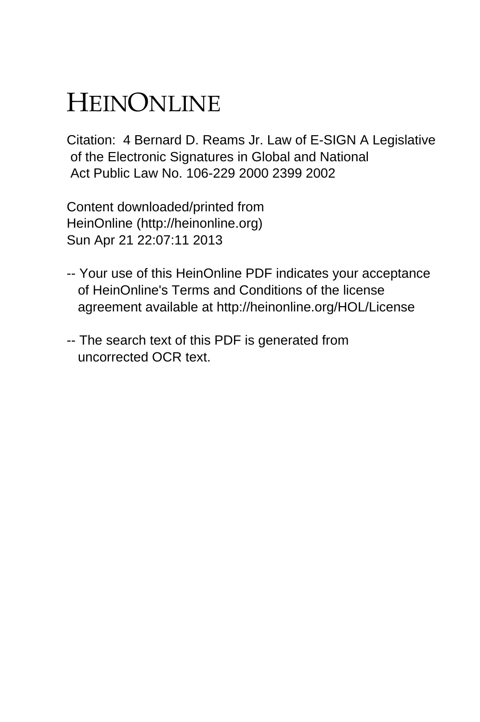# HEINONLINE

Citation: 4 Bernard D. Reams Jr. Law of E-SIGN A Legislative of the Electronic Signatures in Global and National Act Public Law No. 106-229 2000 2399 2002

Content downloaded/printed from HeinOnline (http://heinonline.org) Sun Apr 21 22:07:11 2013

- -- Your use of this HeinOnline PDF indicates your acceptance of HeinOnline's Terms and Conditions of the license agreement available at http://heinonline.org/HOL/License
- -- The search text of this PDF is generated from uncorrected OCR text.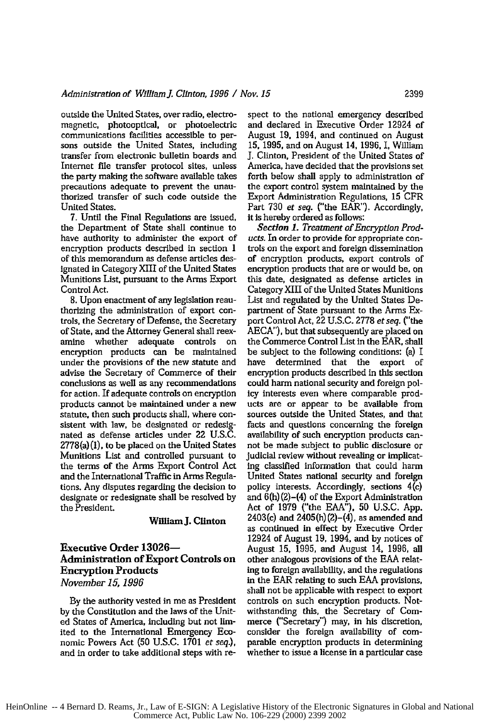outside the United States, over radio, electromagnetic, photooptical, or photoelectric communications facilities accessible to persons outside the United States, including transfer from electronic bulletin boards and Internet file transfer protocol sites, unless the party making the software available takes precautions adequate to prevent the unauthorized transfer of such code outside the United States.

**7.** Until the Final Regulations are issued, the Department of State shall continue to have authority to administer the export of encryption products described in section 1 of this memorandum as defense articles designated in Category XIII of the United States Munitions List, pursuant to the Arms Export Control Act.

8. Upon enactment of any legislation reauthorizing the administration of export controls, the Secretary of Defense, the Secretary of State, and the Attorney General shall reexamine whether adequate controls on encryption products can be maintained under the provisions of the new statute and advise the Secretary of Commerce of their conclusions as well as any recommendations for action. If adequate controls on encryption products cannot be maintained under a new statute, then such products shall, where consistent with law, be designated or redesignated as defense articles under 22 U.S.C. 2778(a) (1), to be placed on the United States Munitions List and controlled pursuant to the terms of the Arms Export Control Act and the International Traffic in Arms Regulations. Any disputes regarding the decision to designate or redesignate shall be resolved by the President.

#### **William J. Clinton**

### **Executive Order 13026- Administration of Export Controls on Encryption Products** *November 15, 1996*

By the authority vested in me as President by the Constitution and the laws of the United States of America, including but not limited to the International Emergency Economic Powers Act (50 U.S.C. 1701 *et seq.),* and in order to take additional steps with re-

spect to the national emergency described and declared in Executive Order 12924 of August 19, 1994, and continued on August 15, 1995, and on August 14, 1996, I, William **J.** Clinton, President of the United States of America, have decided that the provisions set forth below shall apply to administration of the export control system maintained by the Export Administration Regulations, 15 CFR Part 730 *et seq.* ("the EAR"). Accordingly, it is hereby ordered as follows:

*Section 1. Treatment of Encryption Products.* In order to provide for appropriate controls on the export and foreign dissemination of encryption products, export controls of encryption products that are or would be, on this date, designated as defense articles in Category XIII of the United States Munitions List and regulated by the United States Department of State pursuant to the Arms Export Control Act, 22 U.S.C. 2778 *et seq.* ('the AECA"), but that subsequently are placed on the Commerce Control List in the EAR, shall be subject to the following conditions: (a) I have determined that the export of encryption products described in this section could harm national security and foreign policy interests even where comparable products are or appear to be available from sources outside the United States, and that facts and questions concerning the foreign availability of such encryption products cannot be made subject to public disclosure or judicial review without revealing or implicating classified information that could harm United States national security and foreign policy interests. Accordingly, sections 4(c) and 6(h) (2)-(4) of the Export Administration Act of 1979 ("the EAA"), 50 U.S.C. App. 2403(c) and 2405(h) (2)-(4), as amended and as continued in effect **by** Executive Order 12924 of August **19,** 1994, and by notices of August **15, 1995,** and August 14, **1996,** all other analogous provisions of the **EAA** relating to foreign availability, and the regulations in the EAR relating to such EAA provisions, shall not be applicable with respect to export controls on such encryption products. Notwithstanding this, the Secretary of Commerce ("Secretary') may, in his discretion, consider the foreign availability of comparable encryption products in determining whether to issue a license in a particular case

HeinOnline -- 4 Bernard D. Reams, Jr., Law of E-SIGN: A Legislative History of the Electronic Signatures in Global and National Commerce Act, Public Law No. 106-229 (2000) 2399 2002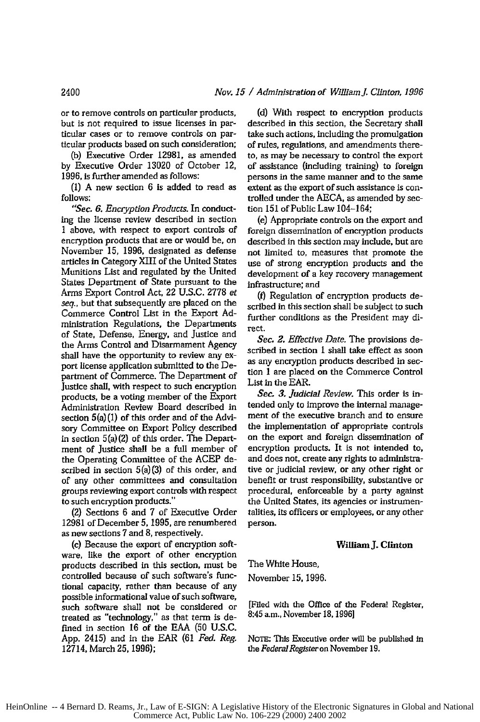#### *Nov. 15 / Administration of WillamJ. Clinton, 1996*

or to remove controls on particular products, but is not required to issue licenses in particular cases or to remove controls on particular products based on such consideration;

(b) Executive Order **12981,** as amended by Executive Order 13020 of October 12, **1996,** is further amended as follows:

(I) A new section 6 is added to read as follows:

*"Sec. 6. Encryption Products.* In conducting the license review described in section 1 above, with respect to export controls of encryption products that are or would be, on November **15,** 1996, designated as defense articles in Category XIII of the United States Munitions List and regulated by the United States Department of State pursuant to the Arms Export Control Act, 22 U.S.C. 2778 et *seq.,* but that subsequently are placed on the Commerce Control List in the Export **Ad**ministration Regulations, the Departments of State, Defense, Energy, and Justice and the Arms Control and Disarmament Agency shall have the opportunity to review any **ex**port license application submitted to the Department of Commerce. The Department of Justice shall, with respect to such encryption products, be a voting member of the Export Administration Review Board described in section 5(a) (1) of this order and of the Advisory Committee on Export Policy described in section 5(a) (2) of this order. The Department of Justice shall be a full member of the Operating Committee of the ACEP described in section 5(a)(3) of this order, and of any other committees and consultation groups reviewing export controls with respect to such encryption products."

(2) Sections 6 and 7 of Executive Order 12981 of December *5,* **1995,** are renumbered as new sections 7 and 8, respectively.

(c) Because the export of encryption software, like the export of other encryption products described in this section, must be controlled because of such software's functional capacity, rather than because of any possible informational value of such software, such software shall not be considered or treated as "technology," as that term is defined in section 16 of the EAA (50 U.S.C. App. 2415) and in the EAR (61 *Fed. Reg.* 12714, March **25,** 1996);

(d) With respect to encryption products described in this section, the Secretary shall take such actions, including the promulgation of rules, regulations, and amendments thereto, as may be necessary to control the export of assistance (including training) to foreign persons in the same manner and to the same extent as the export **of** such assistance is controlled under the AECA, as amended by section **151** of Public Law 104-164;

(e) Appropriate controls on the export and foreign dissemination of encryption products described in this section may include, but are not limited to, measures that promote the use of strong encryption products and the development of a key recovery management infrastructure; and

() Regulation of encryption products described in this section shall be subject to such further conditions as the President may **di**rect.

*Sec. 2. Effective Date.* The provisions described in section 1 shall take effect as soon as any encryption products described in section 1 are placed on the Commerce Control List in the EAR.

*Sec. 3. Judicial Review. This* order is intended only to improve the internal management of the executive branch and to ensure the implementation of appropriate controls on the export and foreign dissemination of encryption products. It is not intended to, and does not, create any rights to administrative or judicial review, or any other right or benefit or trust responsibility, substantive or procedural, enforceable by a party against the United States, its agencies or instrumentalities, its officers or employees, or any other person.

#### **William J. Clinton**

The White House, November *15,* 1996.

8:45 a.m., November 18,1996]

[Filed with the Office of the Federal Register,

**NOTE:** This Executive order will be published In *the Federal Register on* November **19.**

2400